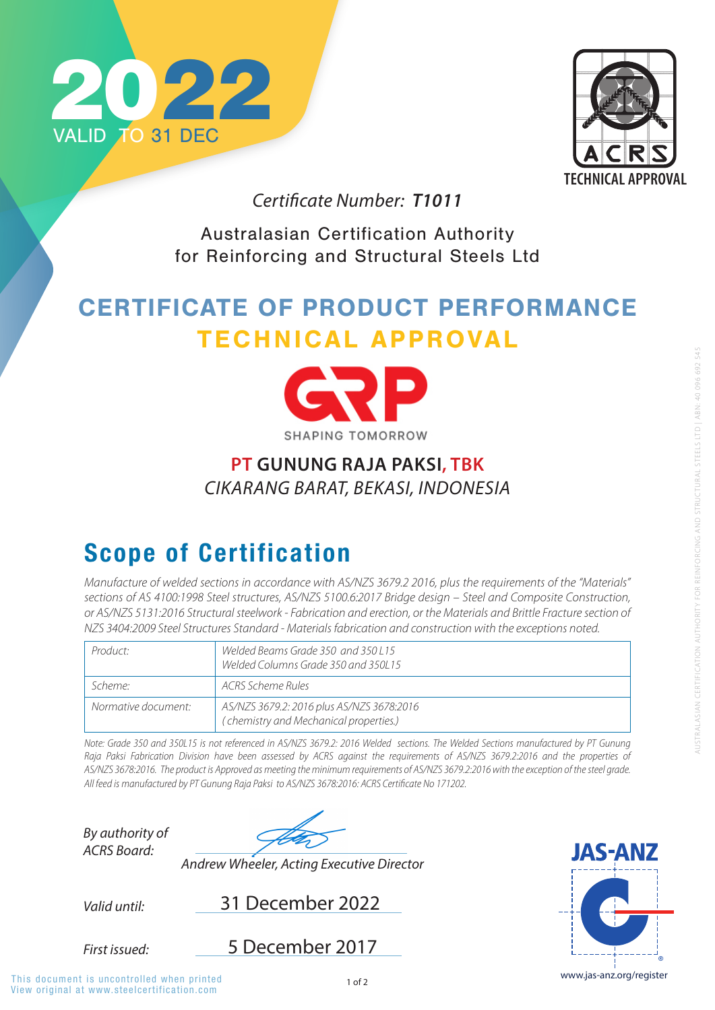View original at www.steelcertification.com This document is uncontrolled when printed



Australasian Certification Authority for Reinforcing and Structural Steels Ltd



# CERTIFICATE OF PRODUCT PERFORMANCE TECHNICAL APPROVAL



#### **SHAPING TOMORROW**

*Valid until:*

*By authority of ACRS Board:*

*First issued:*

31 December 2022





*Andrew Wheeler, Acting Executive Director*

### Scope of Certification

*Certificate Number: T1011*

5 December 2017

*Note: Grade 350 and 350L15 is not referenced in AS/NZS 3679.2: 2016 Welded sections. The Welded Sections manufactured by PT Gunung*  Raja Paksi Fabrication Division have been assessed by ACRS against the requirements of AS/NZS 3679.2:2016 and the properties of

*Manufacture of welded sections in accordance with AS/NZS 3679.2 2016, plus the requirements of the "Materials" sections of AS 4100:1998 Steel structures, AS/NZS 5100.6:2017 Bridge design – Steel and Composite Construction, or AS/NZS 5131:2016 Structural steelwork - Fabrication and erection, or the Materials and Brittle Fracture section of NZS 3404:2009 Steel Structures Standard - Materials fabrication and construction with the exceptions noted.*

| Product:            | Welded Beams Grade 350 and 350 L15<br>Welded Columns Grade 350 and 350L15           |
|---------------------|-------------------------------------------------------------------------------------|
| Scheme:             | ACRS Scheme Rules                                                                   |
| Normative document: | AS/NZS 3679.2: 2016 plus AS/NZS 3678:2016<br>(chemistry and Mechanical properties.) |

*AS/NZS 3678:2016. The product is Approved as meeting the minimum requirements of AS/NZS 3679.2:2016 with the exception of the steel grade. All feed is manufactured by PT Gunung Raja Paksi to AS/NZS 3678:2016: ACRS Certificate No 171202.*

#### **PT GUNUNG RAJA PAKSI, TBK** *CIKARANG BARAT, BEKASI, INDONESIA*